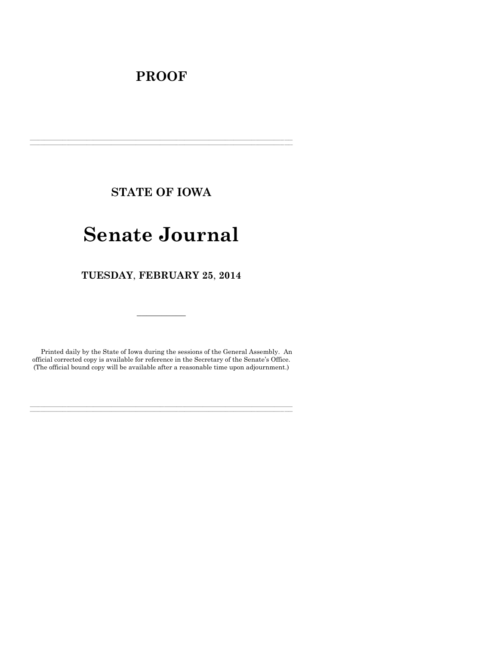# **PROOF**

**STATE OF IOWA**

**\_\_\_\_\_\_\_\_\_\_\_\_\_\_\_\_\_\_\_\_\_\_\_\_\_\_\_\_\_\_\_\_\_\_\_\_\_\_\_\_\_\_\_\_\_\_\_\_\_\_\_\_\_\_\_\_\_\_\_\_\_\_\_\_\_\_\_\_\_\_\_\_\_\_\_\_\_\_\_\_\_\_\_\_\_\_\_\_\_\_\_\_\_\_\_\_\_\_\_\_\_\_\_\_\_\_\_\_\_\_\_\_\_\_\_\_\_\_\_\_\_\_\_\_\_\_\_\_\_ \_\_\_\_\_\_\_\_\_\_\_\_\_\_\_\_\_\_\_\_\_\_\_\_\_\_\_\_\_\_\_\_\_\_\_\_\_\_\_\_\_\_\_\_\_\_\_\_\_\_\_\_\_\_\_\_\_\_\_\_\_\_\_\_\_\_\_\_\_\_\_\_\_\_\_\_\_\_\_\_\_\_\_\_\_\_\_\_\_\_\_\_\_\_\_\_\_\_\_\_\_\_\_\_\_\_\_\_\_\_\_\_\_\_\_\_\_\_\_\_\_\_\_\_\_\_\_\_\_**

# **Senate Journal**

**TUESDAY**, **FEBRUARY 25**, **2014**

Printed daily by the State of Iowa during the sessions of the General Assembly. An official corrected copy is available for reference in the Secretary of the Senate's Office. (The official bound copy will be available after a reasonable time upon adjournment.)

**\_\_\_\_\_\_\_\_\_\_\_\_\_\_\_\_\_\_\_\_\_\_\_\_\_\_\_\_\_\_\_\_\_\_\_\_\_\_\_\_\_\_\_\_\_\_\_\_\_\_\_\_\_\_\_\_\_\_\_\_\_\_\_\_\_\_\_\_\_\_\_\_\_\_\_\_\_\_\_\_\_\_\_\_\_\_\_\_\_\_\_\_\_\_\_\_\_\_\_\_\_\_\_\_\_\_\_\_\_\_\_\_\_\_\_\_\_\_\_\_\_\_\_\_\_\_\_\_\_ \_\_\_\_\_\_\_\_\_\_\_\_\_\_\_\_\_\_\_\_\_\_\_\_\_\_\_\_\_\_\_\_\_\_\_\_\_\_\_\_\_\_\_\_\_\_\_\_\_\_\_\_\_\_\_\_\_\_\_\_\_\_\_\_\_\_\_\_\_\_\_\_\_\_\_\_\_\_\_\_\_\_\_\_\_\_\_\_\_\_\_\_\_\_\_\_\_\_\_\_\_\_\_\_\_\_\_\_\_\_\_\_\_\_\_\_\_\_\_\_\_\_\_\_\_\_\_\_\_**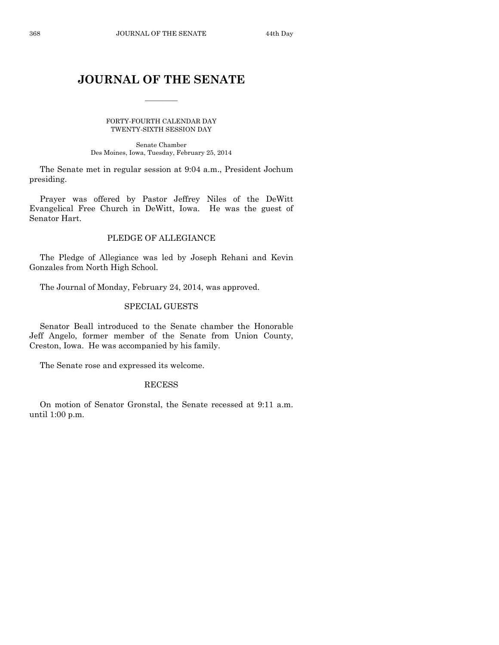# **JOURNAL OF THE SENATE**

 $\frac{1}{2}$ 

FORTY-FOURTH CALENDAR DAY TWENTY-SIXTH SESSION DAY

Senate Chamber Des Moines, Iowa, Tuesday, February 25, 2014

The Senate met in regular session at 9:04 a.m., President Jochum presiding.

Prayer was offered by Pastor Jeffrey Niles of the DeWitt Evangelical Free Church in DeWitt, Iowa. He was the guest of Senator Hart.

# PLEDGE OF ALLEGIANCE

The Pledge of Allegiance was led by Joseph Rehani and Kevin Gonzales from North High School.

The Journal of Monday, February 24, 2014, was approved.

# SPECIAL GUESTS

Senator Beall introduced to the Senate chamber the Honorable Jeff Angelo, former member of the Senate from Union County, Creston, Iowa. He was accompanied by his family.

The Senate rose and expressed its welcome.

#### RECESS

On motion of Senator Gronstal, the Senate recessed at 9:11 a.m. until 1:00 p.m.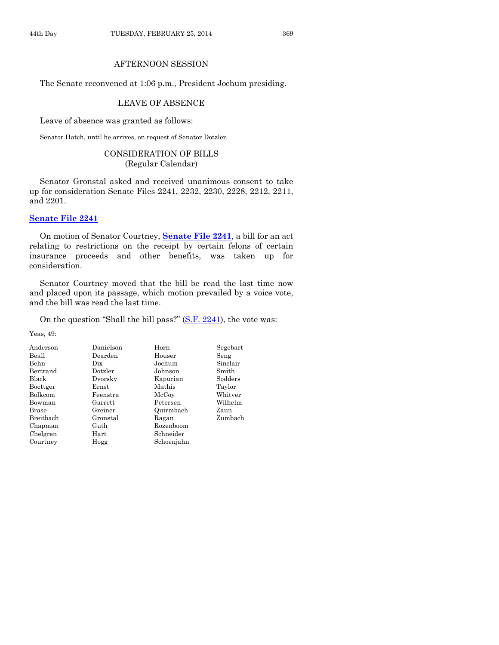# AFTERNOON SESSION

The Senate reconvened at 1:06 p.m., President Jochum presiding.

# LEAVE OF ABSENCE

Leave of absence was granted as follows:

Senator Hatch, until he arrives, on request of Senator Dotzler.

# CONSIDERATION OF BILLS (Regular Calendar)

Senator Gronstal asked and received unanimous consent to take up for consideration Senate Files 2241, 2232, 2230, 2228, 2212, 2211, and 2201.

# **[Senate File 2241](http://coolice.legis.iowa.gov/Cool-ICE/default.asp?Category=billinfo&Service=Billbook&frame=1&GA=85&hbill=SF2241)**

On motion of Senator Courtney, **[Senate File 2241](http://coolice.legis.iowa.gov/Cool-ICE/default.asp?Category=billinfo&Service=Billbook&frame=1&GA=85&hbill=SF2241)**, a bill for an act relating to restrictions on the receipt by certain felons of certain insurance proceeds and other benefits, was taken up for consideration.

Senator Courtney moved that the bill be read the last time now and placed upon its passage, which motion prevailed by a voice vote, and the bill was read the last time.

On the question "Shall the bill pass?" [\(S.F. 2241\)](http://coolice.legis.iowa.gov/Cool-ICE/default.asp?Category=billinfo&Service=Billbook&frame=1&GA=85&hbill=SF2241), the vote was:

Yeas, 49:

| Anderson     | Danielson | Horn       | Segebart |
|--------------|-----------|------------|----------|
| Beall        | Dearden   | Houser     | Seng     |
| Behn         | Dix       | Jochum     | Sinclair |
| Bertrand     | Dotzler   | Johnson    | Smith    |
| Black        | Dvorsky   | Kapucian   | Sodders  |
| Boettger     | Ernst     | Mathis     | Taylor   |
| Bolkcom      | Feenstra  | McCoy      | Whitver  |
| Bowman       | Garrett   | Petersen   | Wilhelm  |
| <b>Brase</b> | Greiner   | Quirmbach  | Zaun     |
| Breitbach    | Gronstal  | Ragan      | Zumbach  |
| Chapman      | Guth      | Rozenboom  |          |
| Chelgren     | Hart      | Schneider  |          |
| Courtney     | Hogg      | Schoenjahn |          |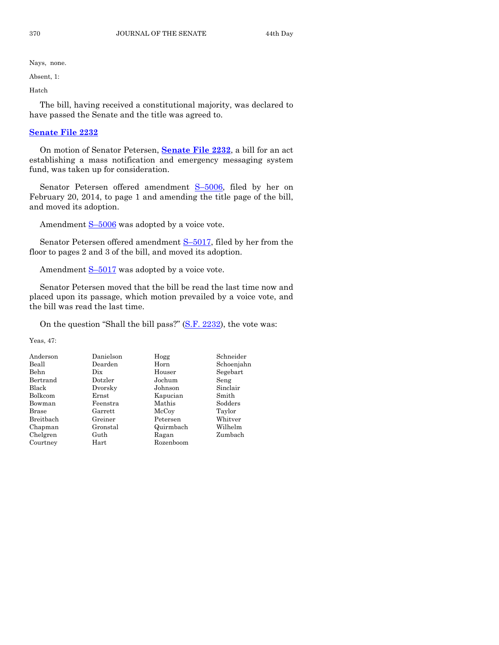Absent, 1:

Hatch

The bill, having received a constitutional majority, was declared to have passed the Senate and the title was agreed to.

# **[Senate File 2232](http://coolice.legis.iowa.gov/Cool-ICE/default.asp?Category=billinfo&Service=Billbook&frame=1&GA=85&hbill=SF2232)**

On motion of Senator Petersen, **[Senate File 2232](http://coolice.legis.iowa.gov/Cool-ICE/default.asp?Category=billinfo&Service=Billbook&frame=1&GA=85&hbill=SF2232)**, a bill for an act establishing a mass notification and emergency messaging system fund, was taken up for consideration.

Senator Petersen offered amendment S–[5006,](http://coolice.legis.iowa.gov/Cool-ICE/default.asp?Category=billinfo&Service=Billbook&frame=1&GA=85&hbill=S5006) filed by her on February 20, 2014, to page 1 and amending the title page of the bill, and moved its adoption.

Amendment  $S-5006$  $S-5006$  was adopted by a voice vote.

Senator Petersen offered amendment S-[5017,](http://coolice.legis.iowa.gov/Cool-ICE/default.asp?Category=billinfo&Service=Billbook&frame=1&GA=85&hbill=S5017) filed by her from the floor to pages 2 and 3 of the bill, and moved its adoption.

Amendment  $S-5017$  $S-5017$  was adopted by a voice vote.

Senator Petersen moved that the bill be read the last time now and placed upon its passage, which motion prevailed by a voice vote, and the bill was read the last time.

On the question "Shall the bill pass?" [\(S.F. 2232\)](http://coolice.legis.iowa.gov/Cool-ICE/default.asp?Category=billinfo&Service=Billbook&frame=1&GA=85&hbill=SF2232), the vote was:

Yeas, 47:

| Anderson     | Danielson | Hogg      | Schneider  |
|--------------|-----------|-----------|------------|
| Beall        | Dearden   | Horn      | Schoenjahn |
| Behn         | Dix       | Houser    | Segebart   |
| Bertrand     | Dotzler   | Jochum    | Seng       |
| Black        | Dvorsky   | Johnson   | Sinclair   |
| Bolkcom      | Ernst     | Kapucian  | Smith      |
| Bowman       | Feenstra  | Mathis    | Sodders    |
| <b>Brase</b> | Garrett   | McCoy     | Taylor     |
| Breithach    | Greiner   | Petersen  | Whitver    |
| Chapman      | Gronstal  | Quirmbach | Wilhelm    |
| Chelgren     | Guth      | Ragan     | Zumbach    |
| Courtney     | Hart      | Rozenboom |            |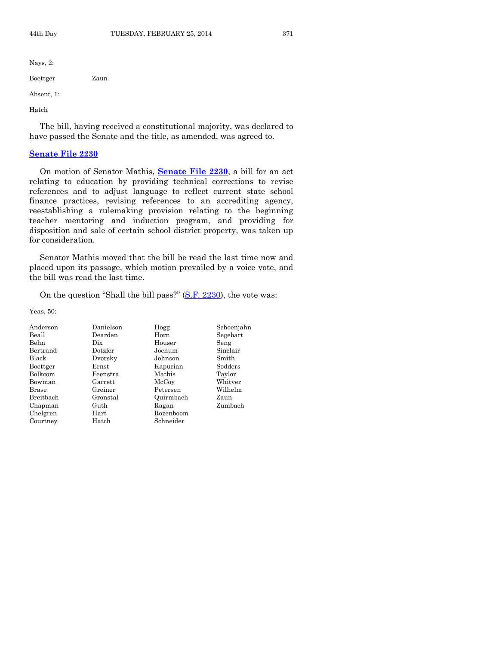| Nays, $2$ : |      |
|-------------|------|
| Boettger    | Zaun |
| Absent, 1:  |      |
| Hatch       |      |

The bill, having received a constitutional majority, was declared to have passed the Senate and the title, as amended, was agreed to.

# **[Senate File 2230](http://coolice.legis.iowa.gov/Cool-ICE/default.asp?Category=billinfo&Service=Billbook&frame=1&GA=85&hbill=SF2230)**

On motion of Senator Mathis, **[Senate File 2230](http://coolice.legis.iowa.gov/Cool-ICE/default.asp?Category=billinfo&Service=Billbook&frame=1&GA=85&hbill=SF2230)**, a bill for an act relating to education by providing technical corrections to revise references and to adjust language to reflect current state school finance practices, revising references to an accrediting agency, reestablishing a rulemaking provision relating to the beginning teacher mentoring and induction program, and providing for disposition and sale of certain school district property, was taken up for consideration.

Senator Mathis moved that the bill be read the last time now and placed upon its passage, which motion prevailed by a voice vote, and the bill was read the last time.

On the question "Shall the bill pass?" [\(S.F. 2230\)](http://coolice.legis.iowa.gov/Cool-ICE/default.asp?Category=billinfo&Service=Billbook&frame=1&GA=85&hbill=SF2230), the vote was:

Yeas, 50:

| Anderson       | Danielson | Hogg      | Schoenjahn |
|----------------|-----------|-----------|------------|
| Beall          | Dearden   | Horn      | Segebart   |
| Behn           | Dix       | Houser    | Seng       |
| Bertrand       | Dotzler   | Jochum    | Sinclair   |
| Black          | Dvorsky   | Johnson   | Smith      |
| Boettger       | Ernst     | Kapucian  | Sodders    |
| <b>Bolkcom</b> | Feenstra  | Mathis    | Taylor     |
| Bowman         | Garrett   | McCoy     | Whitver    |
| <b>Brase</b>   | Greiner   | Petersen  | Wilhelm    |
| Breithach      | Gronstal  | Quirmbach | Zaun       |
| Chapman        | Guth      | Ragan     | Zumbach    |
| Chelgren       | Hart      | Rozenboom |            |
| Courtney       | Hatch     | Schneider |            |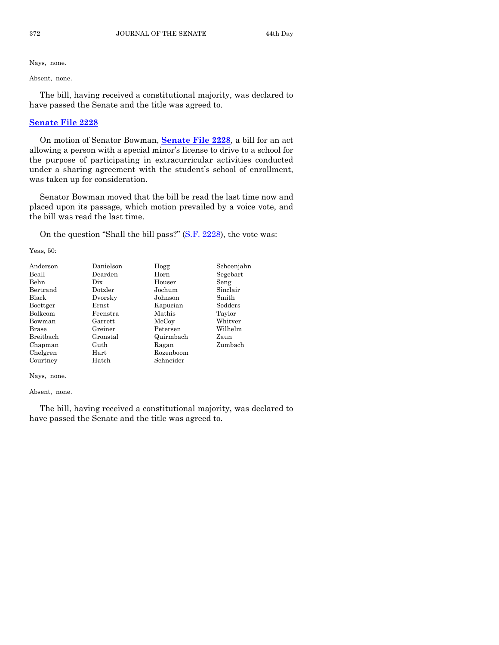Absent, none.

The bill, having received a constitutional majority, was declared to have passed the Senate and the title was agreed to.

# **[Senate File 2228](http://coolice.legis.iowa.gov/Cool-ICE/default.asp?Category=billinfo&Service=Billbook&frame=1&GA=85&hbill=SF2228)**

On motion of Senator Bowman, **[Senate File 2228](http://coolice.legis.iowa.gov/Cool-ICE/default.asp?Category=billinfo&Service=Billbook&frame=1&GA=85&hbill=SF2228)**, a bill for an act allowing a person with a special minor's license to drive to a school for the purpose of participating in extracurricular activities conducted under a sharing agreement with the student's school of enrollment, was taken up for consideration.

Senator Bowman moved that the bill be read the last time now and placed upon its passage, which motion prevailed by a voice vote, and the bill was read the last time.

On the question "Shall the bill pass?" [\(S.F. 2228\)](http://coolice.legis.iowa.gov/Cool-ICE/default.asp?Category=billinfo&Service=Billbook&frame=1&GA=85&hbill=SF2228), the vote was:

Yeas, 50:

| Anderson  | Danielson | Hogg      | Schoenjahn |
|-----------|-----------|-----------|------------|
| Beall     | Dearden   | Horn      | Segebart   |
| Behn      | Dix       | Houser    | Seng       |
| Bertrand  | Dotzler   | Jochum    | Sinclair   |
| Black     | Dvorsky   | Johnson   | Smith      |
| Boettger  | Ernst     | Kapucian  | Sodders    |
| Bolkcom   | Feenstra  | Mathis    | Taylor     |
| Bowman    | Garrett   | McCoy     | Whitver    |
| Brase     | Greiner   | Petersen  | Wilhelm    |
| Breitbach | Gronstal  | Quirmbach | Zaun       |
| Chapman   | Guth      | Ragan     | Zumbach    |
| Chelgren  | Hart      | Rozenboom |            |
| Courtney  | Hatch     | Schneider |            |

Nays, none.

Absent, none.

The bill, having received a constitutional majority, was declared to have passed the Senate and the title was agreed to.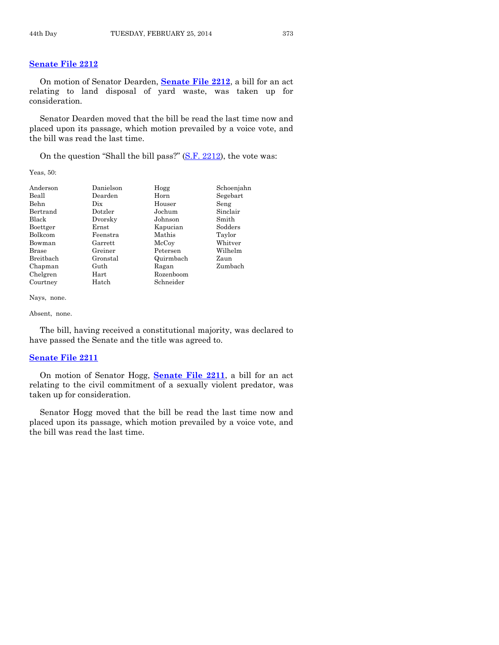# **[Senate File 2212](http://coolice.legis.iowa.gov/Cool-ICE/default.asp?Category=billinfo&Service=Billbook&frame=1&GA=85&hbill=SF2212)**

On motion of Senator Dearden, **[Senate File 2212](http://coolice.legis.iowa.gov/Cool-ICE/default.asp?Category=billinfo&Service=Billbook&frame=1&GA=85&hbill=SF2212)**, a bill for an act relating to land disposal of yard waste, was taken up for consideration.

Senator Dearden moved that the bill be read the last time now and placed upon its passage, which motion prevailed by a voice vote, and the bill was read the last time.

On the question "Shall the bill pass?" [\(S.F. 2212\)](http://coolice.legis.iowa.gov/Cool-ICE/default.asp?Category=billinfo&Service=Billbook&frame=1&GA=85&hbill=SF2212), the vote was:

Yeas, 50:

| Anderson     | Danielson | Hogg      | Schoenjahn |
|--------------|-----------|-----------|------------|
| Beall        | Dearden   | Horn      | Segebart   |
| Behn         | Dix.      | Houser    | Seng       |
| Bertrand     | Dotzler   | Jochum    | Sinclair   |
| Black        | Dvorsky   | Johnson   | Smith      |
| Boettger     | Ernst     | Kapucian  | Sodders    |
| Bolkcom      | Feenstra  | Mathis    | Taylor     |
| Bowman       | Garrett   | McCoy     | Whitver    |
| <b>Brase</b> | Greiner   | Petersen  | Wilhelm    |
| Breitbach    | Gronstal  | Quirmbach | Zaun       |
| Chapman      | Guth      | Ragan     | Zumbach    |
| Chelgren     | Hart      | Rozenboom |            |
| Courtney     | Hatch     | Schneider |            |
|              |           |           |            |

Nays, none.

Absent, none.

The bill, having received a constitutional majority, was declared to have passed the Senate and the title was agreed to.

#### **[Senate File 2211](http://coolice.legis.iowa.gov/Cool-ICE/default.asp?Category=billinfo&Service=Billbook&frame=1&GA=85&hbill=SF2211)**

On motion of Senator Hogg, **[Senate File 2211](http://coolice.legis.iowa.gov/Cool-ICE/default.asp?Category=billinfo&Service=Billbook&frame=1&GA=85&hbill=SF2211)**, a bill for an act relating to the civil commitment of a sexually violent predator, was taken up for consideration.

Senator Hogg moved that the bill be read the last time now and placed upon its passage, which motion prevailed by a voice vote, and the bill was read the last time.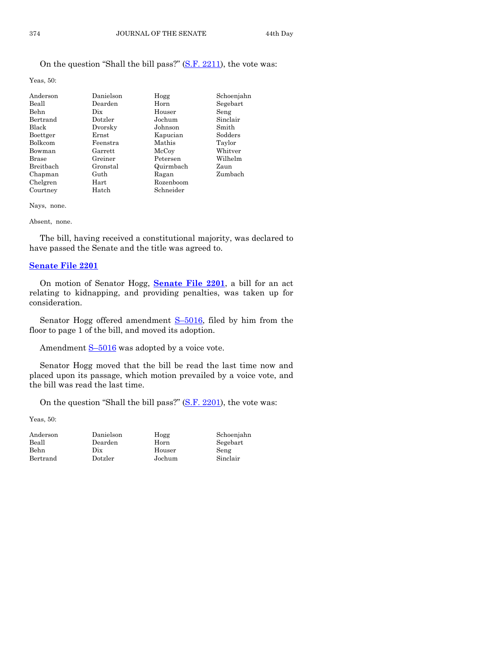# On the question "Shall the bill pass?" [\(S.F. 2211\)](http://coolice.legis.iowa.gov/Cool-ICE/default.asp?Category=billinfo&Service=Billbook&frame=1&GA=85&hbill=SF2211), the vote was:

Yeas, 50:

| Anderson     | Danielson | Hogg      | Schoenjahn |
|--------------|-----------|-----------|------------|
| Beall        | Dearden   | Horn      | Segebart   |
| Behn         | Dix       | Houser    | Seng       |
| Bertrand     | Dotzler   | Jochum    | Sinclair   |
| <b>Black</b> | Dvorsky   | Johnson   | Smith      |
| Boettger     | Ernst     | Kapucian  | Sodders    |
| Bolkcom      | Feenstra  | Mathis    | Taylor     |
| Bowman       | Garrett   | McCoy     | Whitver    |
| <b>Brase</b> | Greiner   | Petersen  | Wilhelm    |
| Breithach    | Gronstal  | Quirmbach | Zaun       |
| Chapman      | Guth      | Ragan     | Zumbach    |
| Chelgren     | Hart      | Rozenboom |            |
| Courtney     | Hatch     | Schneider |            |

Nays, none.

#### Absent, none.

The bill, having received a constitutional majority, was declared to have passed the Senate and the title was agreed to.

#### **[Senate File 2201](http://coolice.legis.iowa.gov/Cool-ICE/default.asp?Category=billinfo&Service=Billbook&frame=1&GA=85&hbill=SF2201)**

On motion of Senator Hogg, **[Senate File 2201](http://coolice.legis.iowa.gov/Cool-ICE/default.asp?Category=billinfo&Service=Billbook&frame=1&GA=85&hbill=SF2201)**, a bill for an act relating to kidnapping, and providing penalties, was taken up for consideration.

Senator Hogg offered amendment  $S$ –[5016,](http://coolice.legis.iowa.gov/Cool-ICE/default.asp?Category=billinfo&Service=Billbook&frame=1&GA=85&hbill=S5016) filed by him from the floor to page 1 of the bill, and moved its adoption.

Amendment  $S-5016$  $S-5016$  was adopted by a voice vote.

Senator Hogg moved that the bill be read the last time now and placed upon its passage, which motion prevailed by a voice vote, and the bill was read the last time.

On the question "Shall the bill pass?" [\(S.F. 2201\)](http://coolice.legis.iowa.gov/Cool-ICE/default.asp?Category=billinfo&Service=Billbook&frame=1&GA=85&hbill=SF2201), the vote was:

Yeas, 50:

| Anderson | Danielson | Hogg   | Scho  |
|----------|-----------|--------|-------|
| Beall    | Dearden   | Horn   | Sege  |
| Behn     | Dix       | Houser | Seng  |
| Bertrand | Dotzler   | Jochum | Sincl |

Anderson Danielson Hogg Schoenjahn

```
Dearden Horn Segebart
Dotzler Jochum Sinclair
```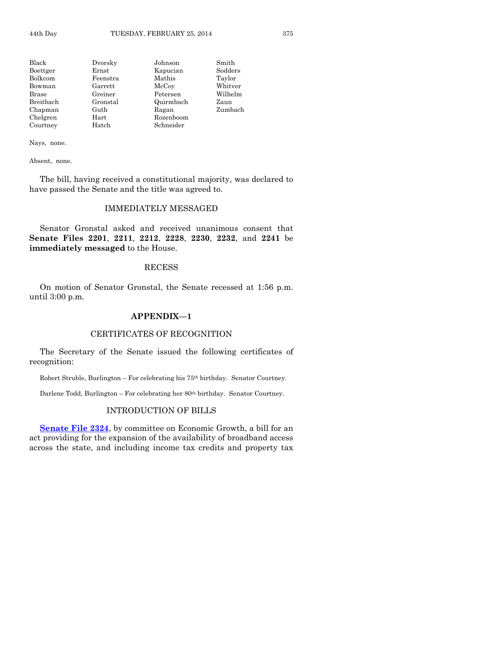| Black        | Dvorsky    | Johnson   | Smith   |
|--------------|------------|-----------|---------|
| Boettger     | Ernst      | Kapucian  | Sodders |
| Bolkcom      | Feenstra   | Mathis    | Taylor  |
| Bowman       | Garrett    | McCoy     | Whitver |
| <b>Brase</b> | Greiner    | Petersen  | Wilhelm |
| Breitbach    | Gronstal   | Quirmbach | Zaun    |
| Chapman      | Guth       | Ragan     | Zumbach |
| Chelgren     | $\rm Hart$ | Rozenboom |         |
| Courtney     | Hatch      | Schneider |         |

Absent, none.

The bill, having received a constitutional majority, was declared to have passed the Senate and the title was agreed to.

#### IMMEDIATELY MESSAGED

Senator Gronstal asked and received unanimous consent that **Senate Files 2201**, **2211**, **2212**, **2228**, **2230**, **2232**, and **2241** be **immediately messaged** to the House.

#### RECESS

On motion of Senator Gronstal, the Senate recessed at 1:56 p.m. until 3:00 p.m.

#### **APPENDIX—1**

# CERTIFICATES OF RECOGNITION

The Secretary of the Senate issued the following certificates of recognition:

Robert Struble, Burlington – For celebrating his 75th birthday. Senator Courtney.

Darlene Todd, Burlington – For celebrating her 80<sup>th</sup> birthday. Senator Courtney.

#### INTRODUCTION OF BILLS

**[Senate File 2324](http://coolice.legis.iowa.gov/Cool-ICE/default.asp?Category=billinfo&Service=Billbook&frame=1&GA=85&hbill=SF2324)**, by committee on Economic Growth, a bill for an act providing for the expansion of the availability of broadband access across the state, and including income tax credits and property tax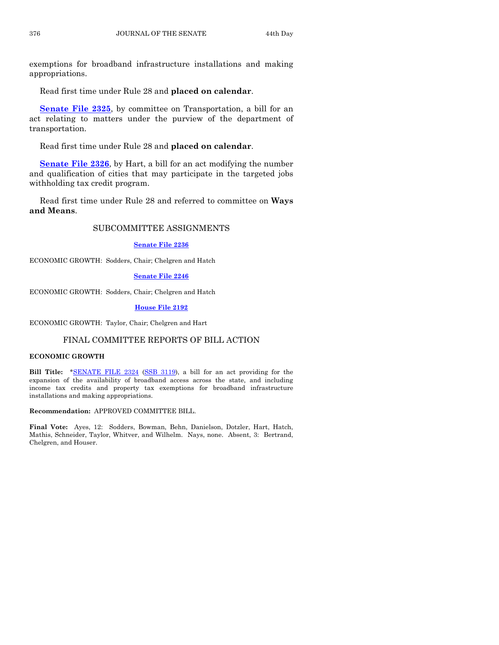exemptions for broadband infrastructure installations and making appropriations.

Read first time under Rule 28 and **placed on calendar**.

**[Senate File 2325](http://coolice.legis.iowa.gov/Cool-ICE/default.asp?Category=billinfo&Service=Billbook&frame=1&GA=85&hbill=SF2325)**, by committee on Transportation, a bill for an act relating to matters under the purview of the department of transportation.

Read first time under Rule 28 and **placed on calendar**.

**[Senate File 2326](http://coolice.legis.iowa.gov/Cool-ICE/default.asp?Category=billinfo&Service=Billbook&frame=1&GA=85&hbill=SF2326)**, by Hart, a bill for an act modifying the number and qualification of cities that may participate in the targeted jobs withholding tax credit program.

Read first time under Rule 28 and referred to committee on **Ways and Means**.

# SUBCOMMITTEE ASSIGNMENTS

#### **[Senate File 2236](http://coolice.legis.iowa.gov/Cool-ICE/default.asp?Category=billinfo&Service=Billbook&frame=1&GA=85&hbill=SF2236)**

ECONOMIC GROWTH: Sodders, Chair; Chelgren and Hatch

#### **[Senate File 2246](http://coolice.legis.iowa.gov/Cool-ICE/default.asp?Category=billinfo&Service=Billbook&frame=1&GA=85&hbill=SF2246)**

ECONOMIC GROWTH: Sodders, Chair; Chelgren and Hatch

#### **[House File 2192](http://coolice.legis.iowa.gov/Cool-ICE/default.asp?Category=billinfo&Service=Billbook&frame=1&GA=85&hbill=HF2192)**

ECONOMIC GROWTH: Taylor, Chair; Chelgren and Hart

#### FINAL COMMITTEE REPORTS OF BILL ACTION

#### **ECONOMIC GROWTH**

**Bill Title:** [\\*SENATE FILE 2324](http://coolice.legis.iowa.gov/Cool-ICE/default.asp?Category=billinfo&Service=Billbook&frame=1&GA=85&hbill=SF2324) [\(SSB 3119\)](http://coolice.legis.iowa.gov/Cool-ICE/default.asp?Category=billinfo&Service=Billbook&frame=1&GA=85&hbill=SSB3119), a bill for an act providing for the expansion of the availability of broadband access across the state, and including income tax credits and property tax exemptions for broadband infrastructure installations and making appropriations.

**Recommendation:** APPROVED COMMITTEE BILL.

**Final Vote:** Ayes, 12: Sodders, Bowman, Behn, Danielson, Dotzler, Hart, Hatch, Mathis, Schneider, Taylor, Whitver, and Wilhelm. Nays, none. Absent, 3: Bertrand, Chelgren, and Houser.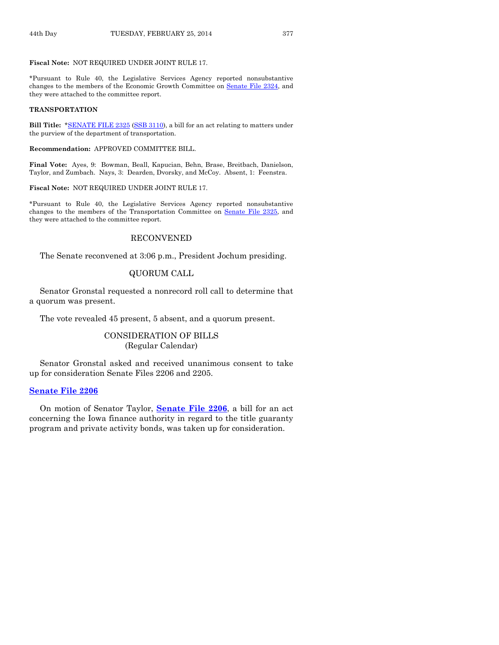#### **Fiscal Note:** NOT REQUIRED UNDER JOINT RULE 17.

\*Pursuant to Rule 40, the Legislative Services Agency reported nonsubstantive changes to the members of the Economic Growth Committee on Senate [File 2324,](http://coolice.legis.iowa.gov/Cool-ICE/default.asp?Category=billinfo&Service=Billbook&frame=1&GA=85&hbill=SF2324) and they were attached to the committee report.

#### **TRANSPORTATION**

**Bill Title:** [\\*SENATE FILE 2325](http://coolice.legis.iowa.gov/Cool-ICE/default.asp?Category=billinfo&Service=Billbook&frame=1&GA=85&hbill=SF2325) [\(SSB 3110\)](http://coolice.legis.iowa.gov/Cool-ICE/default.asp?Category=billinfo&Service=Billbook&frame=1&GA=85&hbill=SSB3110), a bill for an act relating to matters under the purview of the department of transportation.

#### **Recommendation:** APPROVED COMMITTEE BILL.

**Final Vote:** Ayes, 9: Bowman, Beall, Kapucian, Behn, Brase, Breitbach, Danielson, Taylor, and Zumbach. Nays, 3: Dearden, Dvorsky, and McCoy. Absent, 1: Feenstra.

#### **Fiscal Note:** NOT REQUIRED UNDER JOINT RULE 17.

\*Pursuant to Rule 40, the Legislative Services Agency reported nonsubstantive changes to the members of the Transportation Committee on Senate [File 2325,](http://coolice.legis.iowa.gov/Cool-ICE/default.asp?Category=billinfo&Service=Billbook&frame=1&GA=85&hbill=SF2325) and they were attached to the committee report.

#### RECONVENED

The Senate reconvened at 3:06 p.m., President Jochum presiding.

# QUORUM CALL

Senator Gronstal requested a nonrecord roll call to determine that a quorum was present.

The vote revealed 45 present, 5 absent, and a quorum present.

# CONSIDERATION OF BILLS (Regular Calendar)

Senator Gronstal asked and received unanimous consent to take up for consideration Senate Files 2206 and 2205.

#### **[Senate File 2206](http://coolice.legis.iowa.gov/Cool-ICE/default.asp?Category=billinfo&Service=Billbook&frame=1&GA=85&hbill=SF2206)**

On motion of Senator Taylor, **[Senate File 2206](http://coolice.legis.iowa.gov/Cool-ICE/default.asp?Category=billinfo&Service=Billbook&frame=1&GA=85&hbill=SF2206)**, a bill for an act concerning the Iowa finance authority in regard to the title guaranty program and private activity bonds, was taken up for consideration.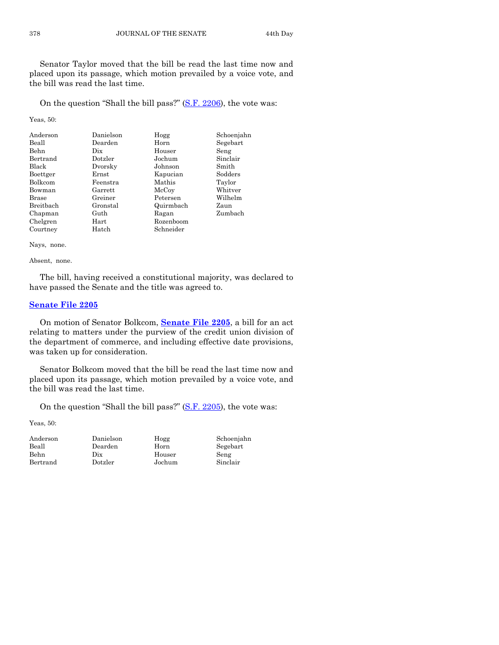Senator Taylor moved that the bill be read the last time now and placed upon its passage, which motion prevailed by a voice vote, and the bill was read the last time.

On the question "Shall the bill pass?" [\(S.F. 2206\)](http://coolice.legis.iowa.gov/Cool-ICE/default.asp?Category=billinfo&Service=Billbook&frame=1&GA=85&hbill=SF2206), the vote was:

Yeas, 50:

| Anderson     | Danielson | Hogg      | Schoenjahn |
|--------------|-----------|-----------|------------|
| Beall        | Dearden   | Horn      | Segebart   |
| <b>Behn</b>  | Dix       | Houser    | Seng       |
| Bertrand     | Dotzler   | Jochum    | Sinclair   |
| <b>Black</b> | Dvorsky   | Johnson   | Smith      |
| Boettger     | Ernst     | Kapucian  | Sodders    |
| Bolkcom      | Feenstra  | Mathis    | Taylor     |
| Bowman       | Garrett   | McCoy     | Whitver    |
| <b>Brase</b> | Greiner   | Petersen  | Wilhelm    |
| Breitbach    | Gronstal  | Quirmbach | Zaun       |
| Chapman      | Guth      | Ragan     | Zumbach    |
| Chelgren     | Hart      | Rozenboom |            |
| Courtney     | Hatch     | Schneider |            |

Nays, none.

Absent, none.

The bill, having received a constitutional majority, was declared to have passed the Senate and the title was agreed to.

# **[Senate File 2205](http://coolice.legis.iowa.gov/Cool-ICE/default.asp?Category=billinfo&Service=Billbook&frame=1&GA=85&hbill=SF2205)**

On motion of Senator Bolkcom, **[Senate File 2205](http://coolice.legis.iowa.gov/Cool-ICE/default.asp?Category=billinfo&Service=Billbook&frame=1&GA=85&hbill=SF2205)**, a bill for an act relating to matters under the purview of the credit union division of the department of commerce, and including effective date provisions, was taken up for consideration.

Senator Bolkcom moved that the bill be read the last time now and placed upon its passage, which motion prevailed by a voice vote, and the bill was read the last time.

On the question "Shall the bill pass?" [\(S.F. 2205\)](http://coolice.legis.iowa.gov/Cool-ICE/default.asp?Category=billinfo&Service=Billbook&frame=1&GA=85&hbill=SF2205), the vote was:

Yeas, 50:

| Anderson | Ð |
|----------|---|
| Beall    | Ð |
| Behn     | Ð |
| Bertrand | Ð |

hix Houser Seng

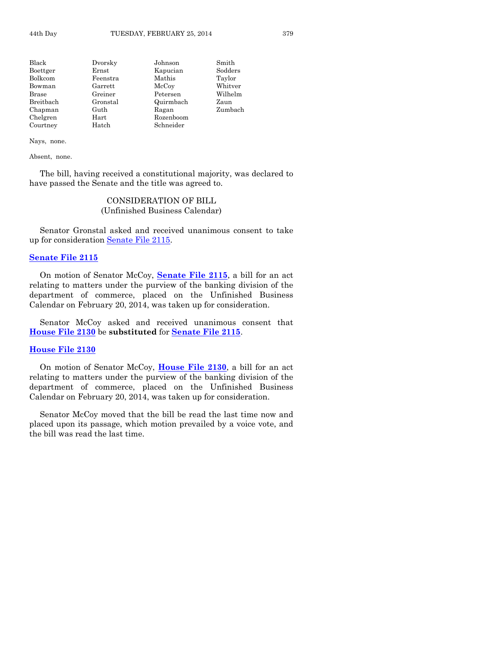| Black     | Dvorsky  | Johnson   | Smith   |
|-----------|----------|-----------|---------|
| Boettger  | Ernst    | Kapucian  | Sodders |
| Bolkcom   | Feenstra | Mathis    | Taylor  |
| Bowman    | Garrett  | McCoy     | Whitver |
| Brase     | Greiner  | Petersen  | Wilhelm |
| Breitbach | Gronstal | Quirmbach | Zaun    |
| Chapman   | Guth     | Ragan     | Zumbach |
| Chelgren  | Hart     | Rozenboom |         |
| Courtney  | Hatch    | Schneider |         |

Absent, none.

The bill, having received a constitutional majority, was declared to have passed the Senate and the title was agreed to.

# CONSIDERATION OF BILL (Unfinished Business Calendar)

Senator Gronstal asked and received unanimous consent to take up for consideration [Senate File 2115.](http://coolice.legis.iowa.gov/Cool-ICE/default.asp?Category=billinfo&Service=Billbook&frame=1&GA=85&hbill=SF2115)

#### **[Senate File 2115](http://coolice.legis.iowa.gov/Cool-ICE/default.asp?Category=billinfo&Service=Billbook&frame=1&GA=85&hbill=SF2115)**

On motion of Senator McCoy, **[Senate File 2115](http://coolice.legis.iowa.gov/Cool-ICE/default.asp?Category=billinfo&Service=Billbook&frame=1&GA=85&hbill=SF2115)**, a bill for an act relating to matters under the purview of the banking division of the department of commerce, placed on the Unfinished Business Calendar on February 20, 2014, was taken up for consideration.

Senator McCoy asked and received unanimous consent that **[House File 2130](http://coolice.legis.iowa.gov/Cool-ICE/default.asp?Category=billinfo&Service=Billbook&frame=1&GA=85&hbill=HF2130)** be **substituted** for **[Senate File 2115](http://coolice.legis.iowa.gov/Cool-ICE/default.asp?Category=billinfo&Service=Billbook&frame=1&GA=85&hbill=SF2115)**.

#### **[House File 2130](http://coolice.legis.iowa.gov/Cool-ICE/default.asp?Category=billinfo&Service=Billbook&frame=1&GA=85&hbill=HF2130)**

On motion of Senator McCoy, **[House File 2130](http://coolice.legis.iowa.gov/Cool-ICE/default.asp?Category=billinfo&Service=Billbook&frame=1&GA=85&hbill=HF2130)**, a bill for an act relating to matters under the purview of the banking division of the department of commerce, placed on the Unfinished Business Calendar on February 20, 2014, was taken up for consideration.

Senator McCoy moved that the bill be read the last time now and placed upon its passage, which motion prevailed by a voice vote, and the bill was read the last time.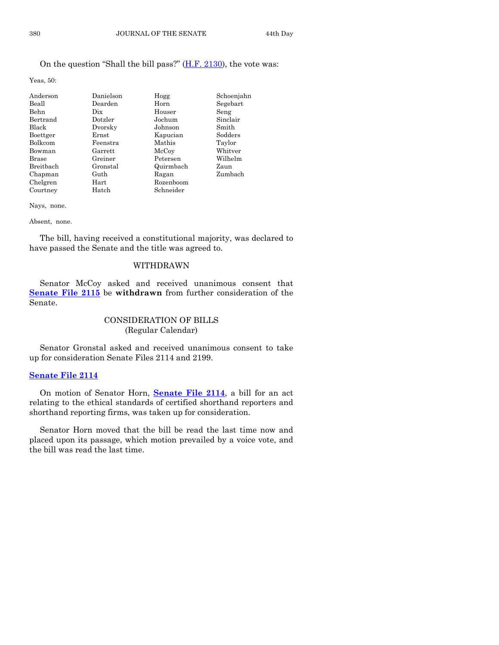# On the question "Shall the bill pass?" [\(H.F. 2130\)](http://coolice.legis.iowa.gov/Cool-ICE/default.asp?Category=billinfo&Service=Billbook&frame=1&GA=85&hbill=HF2130), the vote was:

Yeas, 50:

| Anderson     | Danielson | Hogg      | Schoenjahn |
|--------------|-----------|-----------|------------|
| Beall        | Dearden   | Horn      | Segebart   |
| Behn         | Dix       | Houser    | Seng       |
| Bertrand     | Dotzler   | Jochum    | Sinclair   |
| <b>Black</b> | Dvorsky   | Johnson   | Smith      |
| Boettger     | Ernst     | Kapucian  | Sodders    |
| Bolkcom      | Feenstra  | Mathis    | Taylor     |
| Bowman       | Garrett   | McCoy     | Whitver    |
| <b>Brase</b> | Greiner   | Petersen  | Wilhelm    |
| Breithach    | Gronstal  | Quirmbach | Zaun       |
| Chapman      | Guth      | Ragan     | Zumbach    |
| Chelgren     | Hart      | Rozenboom |            |
| Courtney     | Hatch     | Schneider |            |

Nays, none.

Absent, none.

The bill, having received a constitutional majority, was declared to have passed the Senate and the title was agreed to.

# WITHDRAWN

Senator McCoy asked and received unanimous consent that **[Senate File 2115](http://coolice.legis.iowa.gov/Cool-ICE/default.asp?Category=billinfo&Service=Billbook&frame=1&GA=85&hbill=SF2115)** be **withdrawn** from further consideration of the Senate.

# CONSIDERATION OF BILLS (Regular Calendar)

Senator Gronstal asked and received unanimous consent to take up for consideration Senate Files 2114 and 2199.

#### **[Senate File 2114](http://coolice.legis.iowa.gov/Cool-ICE/default.asp?Category=billinfo&Service=Billbook&frame=1&GA=85&hbill=SF2114)**

On motion of Senator Horn, **[Senate File 2114](http://coolice.legis.iowa.gov/Cool-ICE/default.asp?Category=billinfo&Service=Billbook&frame=1&GA=85&hbill=SF2114)**, a bill for an act relating to the ethical standards of certified shorthand reporters and shorthand reporting firms, was taken up for consideration.

Senator Horn moved that the bill be read the last time now and placed upon its passage, which motion prevailed by a voice vote, and the bill was read the last time.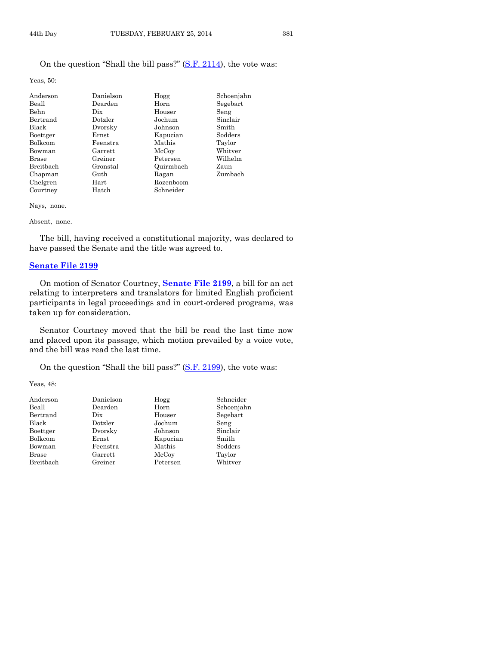Yeas, 50:

| Anderson     | Danielson | Hogg      | Schoenjahn |
|--------------|-----------|-----------|------------|
| Beall        | Dearden   | Horn      | Segebart   |
| <b>Behn</b>  | Dix       | Houser    | Seng       |
| Bertrand     | Dotzler   | Jochum    | Sinclair   |
| <b>Black</b> | Dvorsky   | Johnson   | Smith      |
| Boettger     | Ernst     | Kapucian  | Sodders    |
| Bolkcom      | Feenstra  | Mathis    | Taylor     |
| Bowman       | Garrett   | McCoy     | Whitver    |
| <b>Brase</b> | Greiner   | Petersen  | Wilhelm    |
| Breitbach    | Gronstal  | Quirmbach | Zaun       |
| Chapman      | Guth      | Ragan     | Zumbach    |
| Chelgren     | Hart      | Rozenboom |            |
| Courtney     | Hatch     | Schneider |            |

Nays, none.

Absent, none.

The bill, having received a constitutional majority, was declared to have passed the Senate and the title was agreed to.

#### **[Senate File 2199](http://coolice.legis.iowa.gov/Cool-ICE/default.asp?Category=billinfo&Service=Billbook&frame=1&GA=85&hbill=SF2199)**

On motion of Senator Courtney, **[Senate File 2199](http://coolice.legis.iowa.gov/Cool-ICE/default.asp?Category=billinfo&Service=Billbook&frame=1&GA=85&hbill=SF2199)**, a bill for an act relating to interpreters and translators for limited English proficient participants in legal proceedings and in court-ordered programs, was taken up for consideration.

Senator Courtney moved that the bill be read the last time now and placed upon its passage, which motion prevailed by a voice vote, and the bill was read the last time.

On the question "Shall the bill pass?" [\(S.F. 2199\)](http://coolice.legis.iowa.gov/Cool-ICE/default.asp?Category=billinfo&Service=Billbook&frame=1&GA=85&hbill=SF2199), the vote was:

Yeas, 48:

| Danielson | Hogg     | Schneider  |
|-----------|----------|------------|
| Dearden   | Horn     | Schoenjahn |
| Dix       | Houser   | Segebart   |
| Dotzler   | Jochum   | Seng       |
| Dvorsky   | Johnson  | Sinclair   |
| Ernst     | Kapucian | Smith      |
| Feenstra  | Mathis   | Sodders    |
| Garrett   | McCoy    | Taylor     |
| Greiner   | Petersen | Whitver    |
|           |          |            |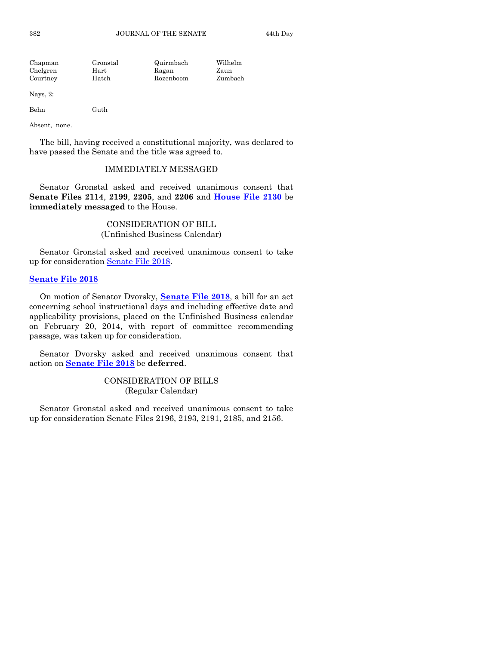| Chapman  | Gronstal | Quirmbach | Wilhelm |
|----------|----------|-----------|---------|
| Chelgren | Hart     | Ragan     | Zaun    |
| Courtney | Hatch    | Rozenboom | Zumbach |

Nays, 2:

Behn Guth

Absent, none.

The bill, having received a constitutional majority, was declared to have passed the Senate and the title was agreed to.

#### IMMEDIATELY MESSAGED

Senator Gronstal asked and received unanimous consent that **Senate Files 2114**, **2199**, **2205**, and **2206** and **[House File 2130](http://coolice.legis.iowa.gov/Cool-ICE/default.asp?Category=billinfo&Service=Billbook&frame=1&GA=85&hbill=HF2130)** be **immediately messaged** to the House.

> CONSIDERATION OF BILL (Unfinished Business Calendar)

Senator Gronstal asked and received unanimous consent to take up for consideration [Senate File 2018.](http://coolice.legis.iowa.gov/Cool-ICE/default.asp?Category=billinfo&Service=Billbook&frame=1&GA=85&hbill=SF2018)

#### **[Senate File 2018](http://coolice.legis.iowa.gov/Cool-ICE/default.asp?Category=billinfo&Service=Billbook&frame=1&GA=85&hbill=SF2018)**

On motion of Senator Dvorsky, **[Senate File 2018](http://coolice.legis.iowa.gov/Cool-ICE/default.asp?Category=billinfo&Service=Billbook&frame=1&GA=85&hbill=SF2018)**, a bill for an act concerning school instructional days and including effective date and applicability provisions, placed on the Unfinished Business calendar on February 20, 2014, with report of committee recommending passage, was taken up for consideration.

Senator Dvorsky asked and received unanimous consent that action on **[Senate File 2018](http://coolice.legis.iowa.gov/Cool-ICE/default.asp?Category=billinfo&Service=Billbook&frame=1&GA=85&hbill=SF2018)** be **deferred**.

> CONSIDERATION OF BILLS (Regular Calendar)

Senator Gronstal asked and received unanimous consent to take up for consideration Senate Files 2196, 2193, 2191, 2185, and 2156.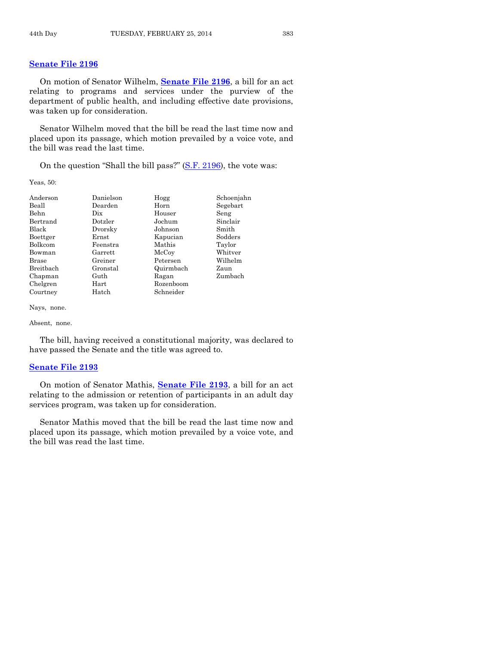# **[Senate File 2196](http://coolice.legis.iowa.gov/Cool-ICE/default.asp?Category=billinfo&Service=Billbook&frame=1&GA=85&hbill=SF2196)**

On motion of Senator Wilhelm, **[Senate File 2196](http://coolice.legis.iowa.gov/Cool-ICE/default.asp?Category=billinfo&Service=Billbook&frame=1&GA=85&hbill=SF2196)**, a bill for an act relating to programs and services under the purview of the department of public health, and including effective date provisions, was taken up for consideration.

Senator Wilhelm moved that the bill be read the last time now and placed upon its passage, which motion prevailed by a voice vote, and the bill was read the last time.

On the question "Shall the bill pass?" [\(S.F. 2196\)](http://coolice.legis.iowa.gov/Cool-ICE/default.asp?Category=billinfo&Service=Billbook&frame=1&GA=85&hbill=SF2196), the vote was:

Yeas, 50:

| Anderson     | Danielson  | Hogg      | Schoenjahn |
|--------------|------------|-----------|------------|
| Beall        | Dearden    | Horn      | Segebart   |
| Behn         | Dix        | Houser    | Seng       |
| Bertrand     | Dotzler    | Jochum    | Sinclair   |
| Black        | Dvorsky    | Johnson   | Smith      |
| Boettger     | Ernst      | Kapucian  | Sodders    |
| Bolkcom      | Feenstra   | Mathis    | Taylor     |
| Bowman       | Garrett    | McCoy     | Whitver    |
| <b>Brase</b> | Greiner    | Petersen  | Wilhelm    |
| Breitbach    | Gronstal   | Quirmbach | Zaun       |
| Chapman      | Guth       | Ragan     | Zumbach    |
| Chelgren     | $\rm Hart$ | Rozenboom |            |
| Courtney     | Hatch      | Schneider |            |

Nays, none.

Absent, none.

The bill, having received a constitutional majority, was declared to have passed the Senate and the title was agreed to.

#### **[Senate File 2193](http://coolice.legis.iowa.gov/Cool-ICE/default.asp?Category=billinfo&Service=Billbook&frame=1&GA=85&hbill=SF2193)**

On motion of Senator Mathis, **[Senate File 2193](http://coolice.legis.iowa.gov/Cool-ICE/default.asp?Category=billinfo&Service=Billbook&frame=1&GA=85&hbill=SF2193)**, a bill for an act relating to the admission or retention of participants in an adult day services program, was taken up for consideration.

Senator Mathis moved that the bill be read the last time now and placed upon its passage, which motion prevailed by a voice vote, and the bill was read the last time.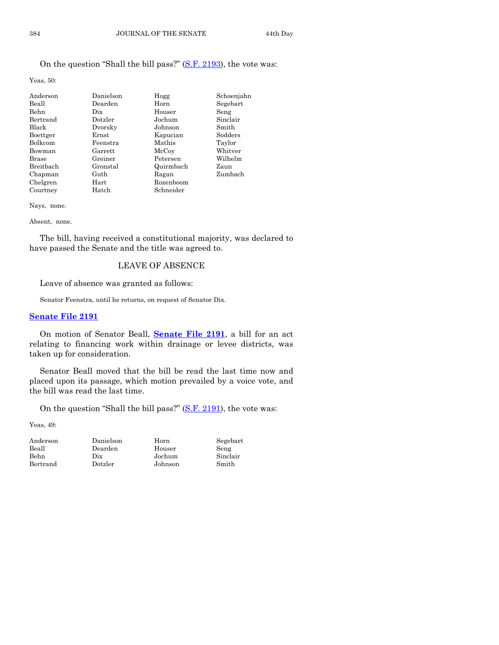# On the question "Shall the bill pass?" [\(S.F. 2193\)](http://coolice.legis.iowa.gov/Cool-ICE/default.asp?Category=billinfo&Service=Billbook&frame=1&GA=85&hbill=SF2193), the vote was:

Yeas, 50:

| Anderson       | Danielson | Hogg      | Schoenjahn |
|----------------|-----------|-----------|------------|
| Beall          | Dearden   | Horn      | Segebart   |
| Behn           | Dix       | Houser    | Seng       |
| Bertrand       | Dotzler   | Jochum    | Sinclair   |
| Black          | Dvorsky   | Johnson   | Smith      |
| Boettger       | Ernst     | Kapucian  | Sodders    |
| <b>Bolkcom</b> | Feenstra  | Mathis    | Taylor     |
| Bowman         | Garrett   | McCoy     | Whitver    |
| <b>Brase</b>   | Greiner   | Petersen  | Wilhelm    |
| Breithach      | Gronstal  | Quirmbach | Zaun       |
| Chapman        | Guth      | Ragan     | Zumbach    |
| Chelgren       | Hart      | Rozenboom |            |
| Courtney       | Hatch     | Schneider |            |

Nays, none.

Absent, none.

The bill, having received a constitutional majority, was declared to have passed the Senate and the title was agreed to.

# LEAVE OF ABSENCE

Leave of absence was granted as follows:

Senator Feenstra, until he returns, on request of Senator Dix.

#### **[Senate File 2191](http://coolice.legis.iowa.gov/Cool-ICE/default.asp?Category=billinfo&Service=Billbook&frame=1&GA=85&hbill=SF2191)**

On motion of Senator Beall, **[Senate File 2191](http://coolice.legis.iowa.gov/Cool-ICE/default.asp?Category=billinfo&Service=Billbook&frame=1&GA=85&hbill=SF2191)**, a bill for an act relating to financing work within drainage or levee districts, was taken up for consideration.

Senator Beall moved that the bill be read the last time now and placed upon its passage, which motion prevailed by a voice vote, and the bill was read the last time.

On the question "Shall the bill pass?" [\(S.F. 2191\)](http://coolice.legis.iowa.gov/Cool-ICE/default.asp?Category=billinfo&Service=Billbook&frame=1&GA=85&hbill=SF2191), the vote was:

Yeas, 49:

Danielson Horn Dearden Houser Dix Jochum Dotzler Johnson

| Segebart |  |
|----------|--|
| Seng     |  |
| Sinclair |  |
| Smith    |  |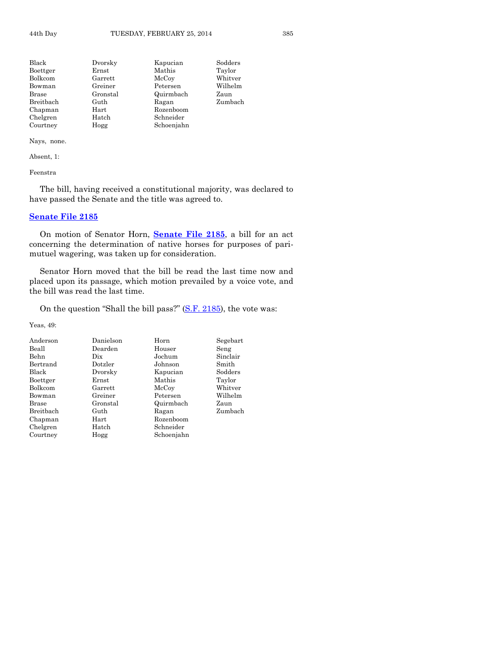| Black        | Dvorsky  | Kapucian   | Sodders |
|--------------|----------|------------|---------|
| Boettger     | Ernst    | Mathis     | Taylor  |
| Bolkcom      | Garrett  | McCoy      | Whitver |
| Bowman       | Greiner  | Petersen   | Wilhelm |
| <b>Brase</b> | Gronstal | Quirmbach  | Zaun    |
| Breitbach    | Guth     | Ragan      | Zumbach |
| Chapman      | Hart     | Rozenboom  |         |
| Chelgren     | Hatch    | Schneider  |         |
| Courtney     | Hogg     | Schoenjahn |         |

Absent, 1:

Feenstra

The bill, having received a constitutional majority, was declared to have passed the Senate and the title was agreed to.

# **[Senate File 2185](http://coolice.legis.iowa.gov/Cool-ICE/default.asp?Category=billinfo&Service=Billbook&frame=1&GA=85&hbill=SF2185)**

On motion of Senator Horn, **[Senate File 2185](http://coolice.legis.iowa.gov/Cool-ICE/default.asp?Category=billinfo&Service=Billbook&frame=1&GA=85&hbill=SF2185)**, a bill for an act concerning the determination of native horses for purposes of parimutuel wagering, was taken up for consideration.

Senator Horn moved that the bill be read the last time now and placed upon its passage, which motion prevailed by a voice vote, and the bill was read the last time.

On the question "Shall the bill pass?" [\(S.F. 2185\)](http://coolice.legis.iowa.gov/Cool-ICE/default.asp?Category=billinfo&Service=Billbook&frame=1&GA=85&hbill=SF2185), the vote was:

Yeas, 49:

| Anderson     | Danielson  | Horn       | Segebart |
|--------------|------------|------------|----------|
| Beall        | Dearden    | Houser     | Seng     |
| <b>Behn</b>  | Dix        | Jochum     | Sinclair |
| Bertrand     | Dotzler    | Johnson    | Smith    |
| <b>Black</b> | Dvorsky    | Kapucian   | Sodders  |
| Boettger     | Ernst      | Mathis     | Taylor   |
| Bolkcom      | Garrett    | McCoy      | Whitver  |
| Bowman       | Greiner    | Petersen   | Wilhelm  |
| Brase        | Gronstal   | Quirmbach  | Zaun     |
| Breitbach    | Guth       | Ragan      | Zumbach  |
| Chapman      | $\rm Hart$ | Rozenboom  |          |
| Chelgren     | Hatch      | Schneider  |          |
| Courtney     | Hogg       | Schoenjahn |          |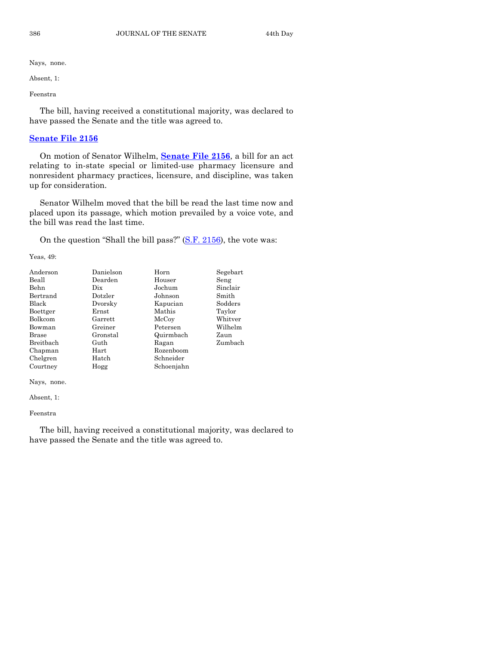Absent, 1:

Feenstra

The bill, having received a constitutional majority, was declared to have passed the Senate and the title was agreed to.

# **[Senate File 2156](http://coolice.legis.iowa.gov/Cool-ICE/default.asp?Category=billinfo&Service=Billbook&frame=1&GA=85&hbill=SF2156)**

On motion of Senator Wilhelm, **[Senate File 2156](http://coolice.legis.iowa.gov/Cool-ICE/default.asp?Category=billinfo&Service=Billbook&frame=1&GA=85&hbill=SF2156)**, a bill for an act relating to in-state special or limited-use pharmacy licensure and nonresident pharmacy practices, licensure, and discipline, was taken up for consideration.

Senator Wilhelm moved that the bill be read the last time now and placed upon its passage, which motion prevailed by a voice vote, and the bill was read the last time.

On the question "Shall the bill pass?" [\(S.F. 2156\)](http://coolice.legis.iowa.gov/Cool-ICE/default.asp?Category=billinfo&Service=Billbook&frame=1&GA=85&hbill=SF2156), the vote was:

Yeas, 49:

| Anderson  | Danielson | Horn       | Segebart |
|-----------|-----------|------------|----------|
| Beall     | Dearden   | Houser     | Seng     |
| Behn      | Dix       | Jochum     | Sinclair |
| Bertrand  | Dotzler   | Johnson    | Smith    |
| Black     | Dvorsky   | Kapucian   | Sodders  |
| Boettger  | Ernst     | Mathis     | Taylor   |
| Bolkcom   | Garrett   | McCoy      | Whitver  |
| Bowman    | Greiner   | Petersen   | Wilhelm  |
| Brase     | Gronstal  | Quirmbach  | Zaun     |
| Breitbach | Guth      | Ragan      | Zumbach  |
| Chapman   | Hart      | Rozenboom  |          |
| Chelgren  | Hatch     | Schneider  |          |
| Courtney  | Hogg      | Schoenjahn |          |

Nays, none.

Absent, 1:

Feenstra

The bill, having received a constitutional majority, was declared to have passed the Senate and the title was agreed to.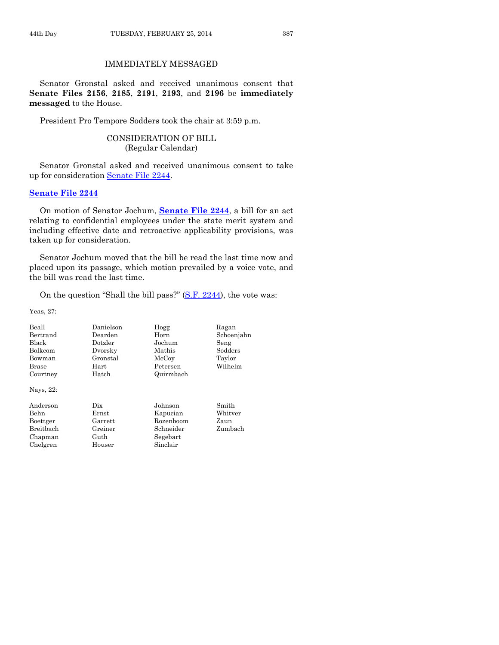# IMMEDIATELY MESSAGED

Senator Gronstal asked and received unanimous consent that **Senate Files 2156**, **2185**, **2191**, **2193**, and **2196** be **immediately messaged** to the House.

President Pro Tempore Sodders took the chair at 3:59 p.m.

# CONSIDERATION OF BILL (Regular Calendar)

Senator Gronstal asked and received unanimous consent to take up for consideration [Senate File 2244.](http://coolice.legis.iowa.gov/Cool-ICE/default.asp?Category=billinfo&Service=Billbook&frame=1&GA=85&hbill=SF2244)

#### **[Senate File 2244](http://coolice.legis.iowa.gov/Cool-ICE/default.asp?Category=billinfo&Service=Billbook&frame=1&GA=85&hbill=SF2244)**

On motion of Senator Jochum, **[Senate File 2244](http://coolice.legis.iowa.gov/Cool-ICE/default.asp?Category=billinfo&Service=Billbook&frame=1&GA=85&hbill=SF2244)**, a bill for an act relating to confidential employees under the state merit system and including effective date and retroactive applicability provisions, was taken up for consideration.

Senator Jochum moved that the bill be read the last time now and placed upon its passage, which motion prevailed by a voice vote, and the bill was read the last time.

On the question "Shall the bill pass?" [\(S.F. 2244\)](http://coolice.legis.iowa.gov/Cool-ICE/default.asp?Category=billinfo&Service=Billbook&frame=1&GA=85&hbill=SF2244), the vote was:

Yeas, 27:

| Beall<br>Bertrand<br><b>Black</b><br><b>Bolkcom</b><br>Bowman<br>Brase<br>Courtney<br>Nays, 22: | Danielson<br>Dearden<br>Dotzler<br>Dvorsky<br>Gronstal<br>Hart<br>Hatch | Hogg<br>Horn<br>Jochum<br>Mathis<br>McCoy<br>Petersen<br>Quirmbach    | Ragan<br>Schoenjahn<br>Seng<br>Sodders<br>Taylor<br>Wilhelm |
|-------------------------------------------------------------------------------------------------|-------------------------------------------------------------------------|-----------------------------------------------------------------------|-------------------------------------------------------------|
| Anderson<br>Behn<br>Boettger<br><b>Breithach</b><br>Chapman<br>Chelgren                         | Dix<br>Ernst<br>Garrett<br>Greiner<br>Guth<br>Houser                    | Johnson<br>Kapucian<br>Rozenboom<br>Schneider<br>Segebart<br>Sinclair | Smith<br>Whitver<br>Zaun<br>Zumbach                         |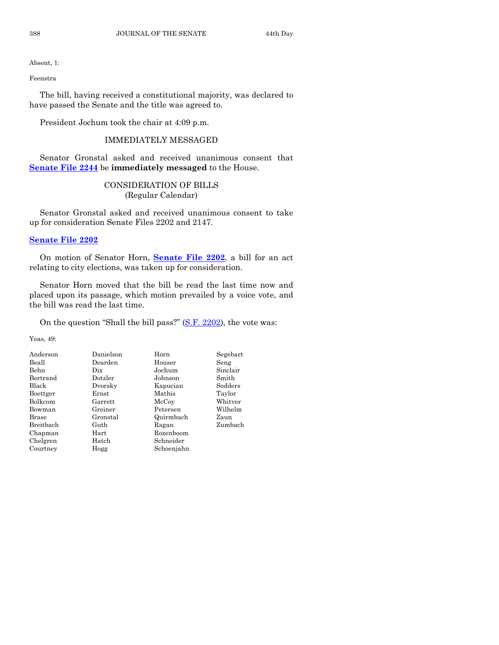Absent, 1:

Feenstra

The bill, having received a constitutional majority, was declared to have passed the Senate and the title was agreed to.

President Jochum took the chair at 4:09 p.m.

# IMMEDIATELY MESSAGED

Senator Gronstal asked and received unanimous consent that **[Senate File 2244](http://coolice.legis.iowa.gov/Cool-ICE/default.asp?Category=billinfo&Service=Billbook&frame=1&GA=85&hbill=SF2244)** be **immediately messaged** to the House.

# CONSIDERATION OF BILLS (Regular Calendar)

Senator Gronstal asked and received unanimous consent to take up for consideration Senate Files 2202 and 2147.

# **[Senate File 2202](http://coolice.legis.iowa.gov/Cool-ICE/default.asp?Category=billinfo&Service=Billbook&frame=1&GA=85&hbill=SF2202)**

On motion of Senator Horn, **[Senate File 2202](http://coolice.legis.iowa.gov/Cool-ICE/default.asp?Category=billinfo&Service=Billbook&frame=1&GA=85&hbill=SF2202)**, a bill for an act relating to city elections, was taken up for consideration.

Senator Horn moved that the bill be read the last time now and placed upon its passage, which motion prevailed by a voice vote, and the bill was read the last time.

On the question "Shall the bill pass?" [\(S.F. 2202\)](http://coolice.legis.iowa.gov/Cool-ICE/default.asp?Category=billinfo&Service=Billbook&frame=1&GA=85&hbill=SF2202), the vote was:

Yeas, 49:

| Anderson     | Danielson  | Horn       | Segebart |
|--------------|------------|------------|----------|
| Beall        | Dearden    | Houser     | Seng     |
| Behn         | Dix        | Jochum     | Sinclair |
| Bertrand     | Dotzler    | Johnson    | Smith    |
| Black        | Dvorsky    | Kapucian   | Sodders  |
| Boettger     | Ernst      | Mathis     | Taylor   |
| Bolkcom      | Garrett    | McCoy      | Whitver  |
| Bowman       | Greiner    | Petersen   | Wilhelm  |
| <b>Brase</b> | Gronstal   | Quirmbach  | Zaun     |
| Breitbach    | Guth       | Ragan      | Zumbach  |
| Chapman      | $\rm Hart$ | Rozenboom  |          |
| Chelgren     | Hatch      | Schneider  |          |
| Courtney     | Hogg       | Schoenjahn |          |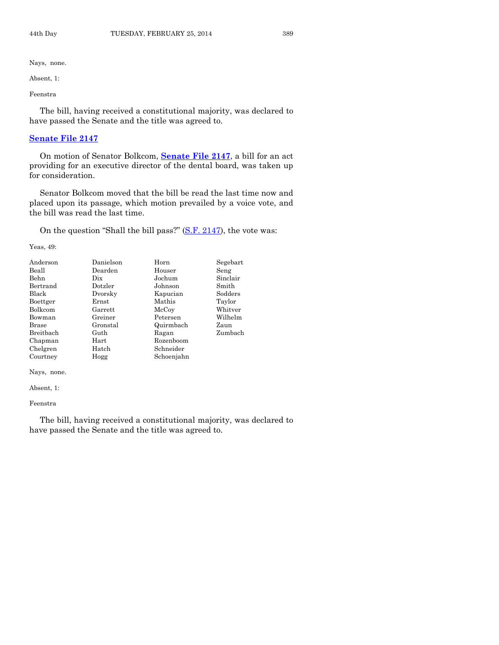Absent, 1:

Feenstra

The bill, having received a constitutional majority, was declared to have passed the Senate and the title was agreed to.

# **[Senate File 2147](http://coolice.legis.iowa.gov/Cool-ICE/default.asp?Category=billinfo&Service=Billbook&frame=1&GA=85&hbill=SF2147)**

On motion of Senator Bolkcom, **[Senate File 2147](http://coolice.legis.iowa.gov/Cool-ICE/default.asp?Category=billinfo&Service=Billbook&frame=1&GA=85&hbill=SF2147)**, a bill for an act providing for an executive director of the dental board, was taken up for consideration.

Senator Bolkcom moved that the bill be read the last time now and placed upon its passage, which motion prevailed by a voice vote, and the bill was read the last time.

On the question "Shall the bill pass?"  $(S.F. 2147)$ , the vote was:

Yeas, 49:

| Anderson  | Danielson | Horn       | Segebart |
|-----------|-----------|------------|----------|
| Beall     | Dearden   | Houser     | Seng     |
| Behn      | Dix       | Jochum     | Sinclair |
| Bertrand  | Dotzler   | Johnson    | Smith    |
| Black     | Dvorsky   | Kapucian   | Sodders  |
| Boettger  | Ernst     | Mathis     | Taylor   |
| Bolkcom   | Garrett   | McCoy      | Whitver  |
| Bowman    | Greiner   | Petersen   | Wilhelm  |
| Brase     | Gronstal  | Quirmbach  | Zaun     |
| Breitbach | Guth      | Ragan      | Zumbach  |
| Chapman   | Hart      | Rozenboom  |          |
| Chelgren  | Hatch     | Schneider  |          |
| Courtney  | Hogg      | Schoenjahn |          |

Nays, none.

Absent, 1:

Feenstra

The bill, having received a constitutional majority, was declared to have passed the Senate and the title was agreed to.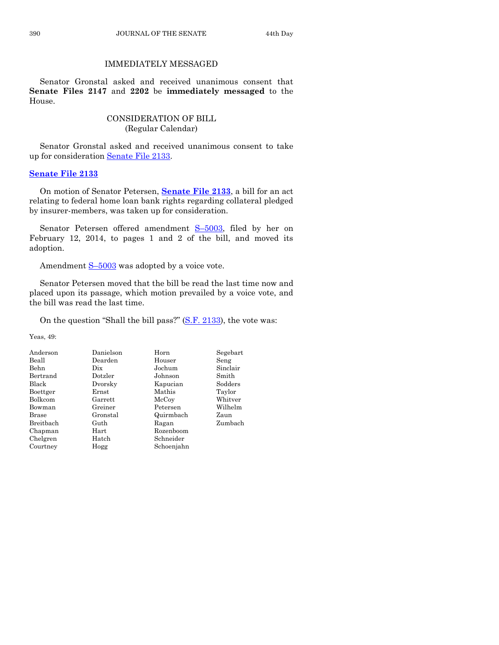# IMMEDIATELY MESSAGED

Senator Gronstal asked and received unanimous consent that **Senate Files 2147** and **2202** be **immediately messaged** to the House.

# CONSIDERATION OF BILL (Regular Calendar)

Senator Gronstal asked and received unanimous consent to take up for consideration [Senate File 2133.](http://coolice.legis.iowa.gov/Cool-ICE/default.asp?Category=billinfo&Service=Billbook&frame=1&GA=85&hbill=SF2133)

#### **[Senate File 2133](http://coolice.legis.iowa.gov/Cool-ICE/default.asp?Category=billinfo&Service=Billbook&frame=1&GA=85&hbill=SF2133)**

On motion of Senator Petersen, **[Senate File 2133](http://coolice.legis.iowa.gov/Cool-ICE/default.asp?Category=billinfo&Service=Billbook&frame=1&GA=85&hbill=SF2133)**, a bill for an act relating to federal home loan bank rights regarding collateral pledged by insurer-members, was taken up for consideration.

Senator Petersen offered amendment S–[5003,](http://coolice.legis.iowa.gov/Cool-ICE/default.asp?Category=billinfo&Service=Billbook&frame=1&GA=85&hbill=S5003) filed by her on February 12, 2014, to pages 1 and 2 of the bill, and moved its adoption.

Amendment  $S-5003$  $S-5003$  was adopted by a voice vote.

Senator Petersen moved that the bill be read the last time now and placed upon its passage, which motion prevailed by a voice vote, and the bill was read the last time.

On the question "Shall the bill pass?" [\(S.F. 2133\)](http://coolice.legis.iowa.gov/Cool-ICE/default.asp?Category=billinfo&Service=Billbook&frame=1&GA=85&hbill=SF2133), the vote was:

Yeas, 49:

| Anderson  | Danielson | Horn       | Segebart |
|-----------|-----------|------------|----------|
| Beall     | Dearden   | Houser     | Seng     |
| Behn      | Dix       | Jochum     | Sinclair |
| Bertrand  | Dotzler   | Johnson    | Smith    |
| Black     | Dvorsky   | Kapucian   | Sodders  |
| Boettger  | Ernst     | Mathis     | Taylor   |
| Bolkcom   | Garrett   | McCoy      | Whitver  |
| Bowman    | Greiner   | Petersen   | Wilhelm  |
| Brase     | Gronstal  | Quirmbach  | Zaun     |
| Breitbach | Guth      | Ragan      | Zumbach  |
| Chapman   | Hart      | Rozenboom  |          |
| Chelgren  | Hatch     | Schneider  |          |
| Courtney  | Hogg      | Schoenjahn |          |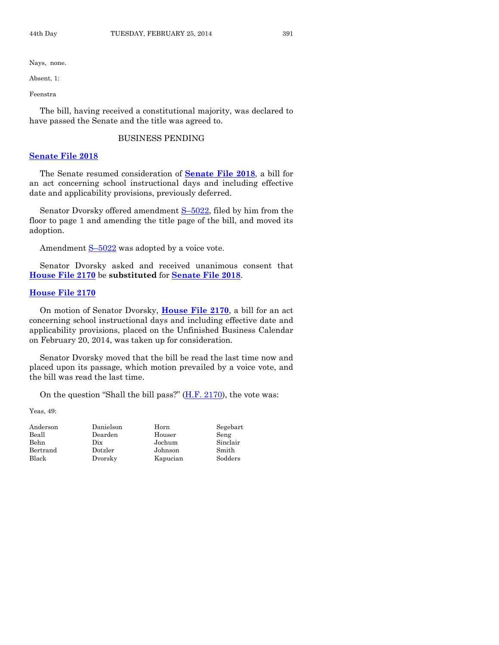Absent, 1:

Feenstra

The bill, having received a constitutional majority, was declared to have passed the Senate and the title was agreed to.

# BUSINESS PENDING

#### **[Senate File 2018](http://coolice.legis.iowa.gov/Cool-ICE/default.asp?Category=billinfo&Service=Billbook&frame=1&GA=85&hbill=SF2018)**

The Senate resumed consideration of **[Senate File 2018](http://coolice.legis.iowa.gov/Cool-ICE/default.asp?Category=billinfo&Service=Billbook&frame=1&GA=85&hbill=SF2018)**, a bill for an act concerning school instructional days and including effective date and applicability provisions, previously deferred.

Senator Dvorsky offered amendment S-[5022,](http://coolice.legis.iowa.gov/Cool-ICE/default.asp?Category=billinfo&Service=Billbook&frame=1&GA=85&hbill=S5022) filed by him from the floor to page 1 and amending the title page of the bill, and moved its adoption.

Amendment  $S-5022$  $S-5022$  was adopted by a voice vote.

Senator Dvorsky asked and received unanimous consent that **[House File 2170](http://coolice.legis.iowa.gov/Cool-ICE/default.asp?Category=billinfo&Service=Billbook&frame=1&GA=85&hbill=HF2170)** be **substituted** for **[Senate File 2018](http://coolice.legis.iowa.gov/Cool-ICE/default.asp?Category=billinfo&Service=Billbook&frame=1&GA=85&hbill=SF2018)**.

# **[House File 2170](http://coolice.legis.iowa.gov/Cool-ICE/default.asp?Category=billinfo&Service=Billbook&frame=1&GA=85&hbill=HF2170)**

On motion of Senator Dvorsky, **[House File 2170](http://coolice.legis.iowa.gov/Cool-ICE/default.asp?Category=billinfo&Service=Billbook&frame=1&GA=85&hbill=HF2170)**, a bill for an act concerning school instructional days and including effective date and applicability provisions, placed on the Unfinished Business Calendar on February 20, 2014, was taken up for consideration.

Senator Dvorsky moved that the bill be read the last time now and placed upon its passage, which motion prevailed by a voice vote, and the bill was read the last time.

On the question "Shall the bill pass?" [\(H.F. 2170\)](http://coolice.legis.iowa.gov/Cool-ICE/default.asp?Category=billinfo&Service=Billbook&frame=1&GA=85&hbill=HF2170), the vote was:

Yeas, 49:

| Anderson    | Danielson | Horn     | Segebart |
|-------------|-----------|----------|----------|
| Beall       | Dearden   | Houser   | Seng     |
| <b>Behn</b> | Dix       | Jochum   | Sinclair |
| Bertrand    | Dotzler   | Johnson  | Smith    |
| Black       | Dvorsky   | Kapucian | Sodders  |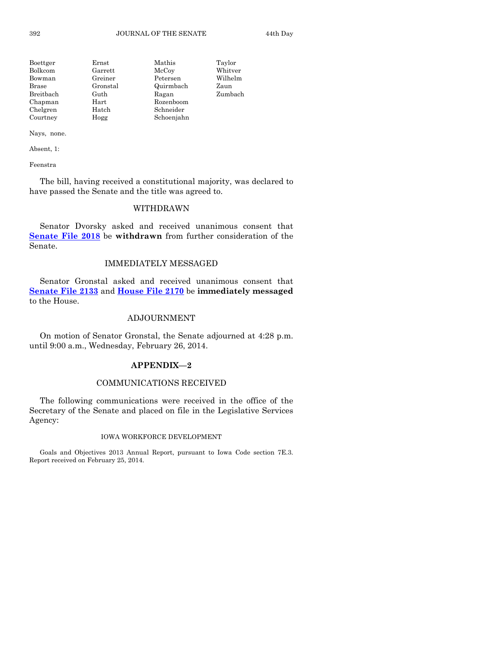| Boettger  | Ernst    | Mathis     | Taylor  |
|-----------|----------|------------|---------|
| Bolkcom   | Garrett  | McCoy      | Whitver |
| Bowman    | Greiner  | Petersen   | Wilhelm |
| Brase     | Gronstal | Quirmbach  | Zaun    |
| Breitbach | Guth     | Ragan      | Zumbach |
| Chapman   | Hart     | Rozenboom  |         |
| Chelgren  | Hatch    | Schneider  |         |
| Courtney  | Hogg     | Schoenjahn |         |

Absent, 1:

Feenstra

The bill, having received a constitutional majority, was declared to have passed the Senate and the title was agreed to.

# WITHDRAWN

Senator Dvorsky asked and received unanimous consent that **[Senate File 2018](http://coolice.legis.iowa.gov/Cool-ICE/default.asp?Category=billinfo&Service=Billbook&frame=1&GA=85&hbill=SF2018)** be **withdrawn** from further consideration of the Senate.

#### IMMEDIATELY MESSAGED

Senator Gronstal asked and received unanimous consent that **[Senate File 2133](http://coolice.legis.iowa.gov/Cool-ICE/default.asp?Category=billinfo&Service=Billbook&frame=1&GA=85&hbill=SF2133)** and **[House File 2170](http://coolice.legis.iowa.gov/Cool-ICE/default.asp?Category=billinfo&Service=Billbook&frame=1&GA=85&hbill=HF2170)** be **immediately messaged** to the House.

#### ADJOURNMENT

On motion of Senator Gronstal, the Senate adjourned at 4:28 p.m. until 9:00 a.m., Wednesday, February 26, 2014.

#### **APPENDIX—2**

#### COMMUNICATIONS RECEIVED

The following communications were received in the office of the Secretary of the Senate and placed on file in the Legislative Services Agency:

#### IOWA WORKFORCE DEVELOPMENT

Goals and Objectives 2013 Annual Report, pursuant to Iowa Code section 7E.3. Report received on February 25, 2014.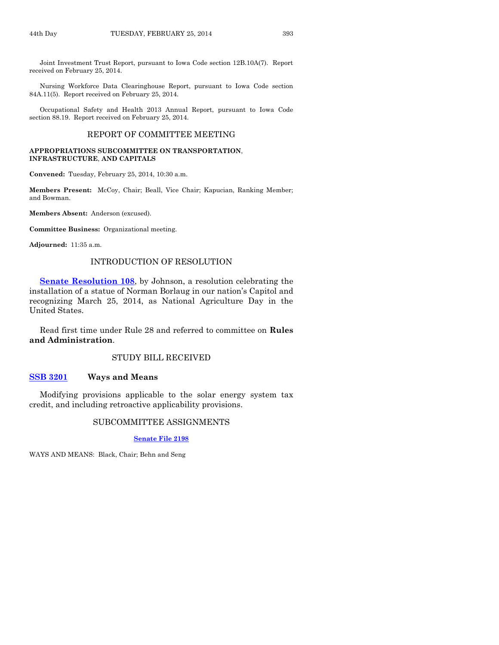Joint Investment Trust Report, pursuant to Iowa Code section 12B.10A(7). Report received on February 25, 2014.

Nursing Workforce Data Clearinghouse Report, pursuant to Iowa Code section 84A.11(5). Report received on February 25, 2014.

Occupational Safety and Health 2013 Annual Report, pursuant to Iowa Code section 88.19. Report received on February 25, 2014.

# REPORT OF COMMITTEE MEETING

#### **APPROPRIATIONS SUBCOMMITTEE ON TRANSPORTATION**, **INFRASTRUCTURE**, **AND CAPITALS**

**Convened:** Tuesday, February 25, 2014, 10:30 a.m.

**Members Present:** McCoy, Chair; Beall, Vice Chair; Kapucian, Ranking Member; and Bowman.

**Members Absent:** Anderson (excused).

**Committee Business:** Organizational meeting.

**Adjourned:** 11:35 a.m.

# INTRODUCTION OF RESOLUTION

**[Senate Resolution](http://coolice.legis.iowa.gov/Cool-ICE/default.asp?Category=billinfo&Service=Billbook&frame=1&GA=85&hbill=SR108) 108**, by Johnson, a resolution celebrating the installation of a statue of Norman Borlaug in our nation's Capitol and recognizing March 25, 2014, as National Agriculture Day in the United States.

Read first time under Rule 28 and referred to committee on **Rules and Administration**.

#### STUDY BILL RECEIVED

#### **[SSB 3201](http://coolice.legis.iowa.gov/Cool-ICE/default.asp?Category=billinfo&Service=Billbook&frame=1&GA=85&hbill=SSB3201) Ways and Means**

Modifying provisions applicable to the solar energy system tax credit, and including retroactive applicability provisions.

# SUBCOMMITTEE ASSIGNMENTS

#### **[Senate File 2198](http://coolice.legis.iowa.gov/Cool-ICE/default.asp?Category=billinfo&Service=Billbook&frame=1&GA=85&hbill=SF2198)**

WAYS AND MEANS: Black, Chair; Behn and Seng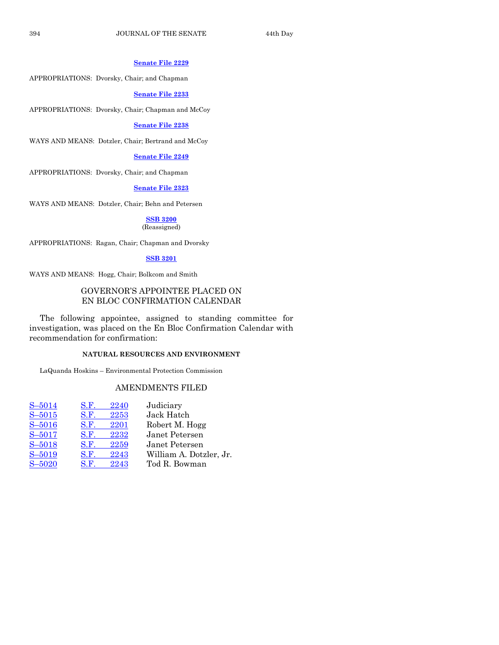#### **[Senate File 2229](http://coolice.legis.iowa.gov/Cool-ICE/default.asp?Category=billinfo&Service=Billbook&frame=1&GA=85&hbill=SF2229)**

APPROPRIATIONS: Dvorsky, Chair; and Chapman

#### **[Senate File 2233](http://coolice.legis.iowa.gov/Cool-ICE/default.asp?Category=billinfo&Service=Billbook&frame=1&GA=85&hbill=SF2233)**

APPROPRIATIONS: Dvorsky, Chair; Chapman and McCoy

#### **[Senate File 2238](http://coolice.legis.iowa.gov/Cool-ICE/default.asp?Category=billinfo&Service=Billbook&frame=1&GA=85&hbill=SF2238)**

WAYS AND MEANS: Dotzler, Chair; Bertrand and McCoy

#### **[Senate File 2249](http://coolice.legis.iowa.gov/Cool-ICE/default.asp?Category=billinfo&Service=Billbook&frame=1&GA=85&hbill=SF2249)**

APPROPRIATIONS: Dvorsky, Chair; and Chapman

# **[Senate File 2323](http://coolice.legis.iowa.gov/Cool-ICE/default.asp?Category=billinfo&Service=Billbook&frame=1&GA=85&hbill=SF2323)**

WAYS AND MEANS: Dotzler, Chair; Behn and Petersen

# **[SSB 3200](http://coolice.legis.iowa.gov/Cool-ICE/default.asp?Category=billinfo&Service=Billbook&frame=1&GA=85&hbill=SSB3200)**

#### (Reassigned)

APPROPRIATIONS: Ragan, Chair; Chapman and Dvorsky

#### **[SSB 3201](http://coolice.legis.iowa.gov/Cool-ICE/default.asp?Category=billinfo&Service=Billbook&frame=1&GA=85&hbill=SSB3201)**

WAYS AND MEANS: Hogg, Chair; Bolkcom and Smith

# GOVERNOR'S APPOINTEE PLACED ON EN BLOC CONFIRMATION CALENDAR

The following appointee, assigned to standing committee for investigation, was placed on the En Bloc Confirmation Calendar with recommendation for confirmation:

# **NATURAL RESOURCES AND ENVIRONMENT**

LaQuanda Hoskins – Environmental Protection Commission

# AMENDMENTS FILED

| $S - 5014$ | S.F. | 2240 | Judiciary               |
|------------|------|------|-------------------------|
| $S - 5015$ | S.F. | 2253 | Jack Hatch              |
| $S - 5016$ | S.F. | 2201 | Robert M. Hogg          |
| $S - 5017$ | S.F. | 2232 | Janet Petersen          |
| $S - 5018$ | S.F. | 2259 | Janet Petersen          |
| $S - 5019$ | S.F. | 2243 | William A. Dotzler, Jr. |
| $S - 5020$ | S.F. | 2243 | Tod R. Bowman           |
|            |      |      |                         |